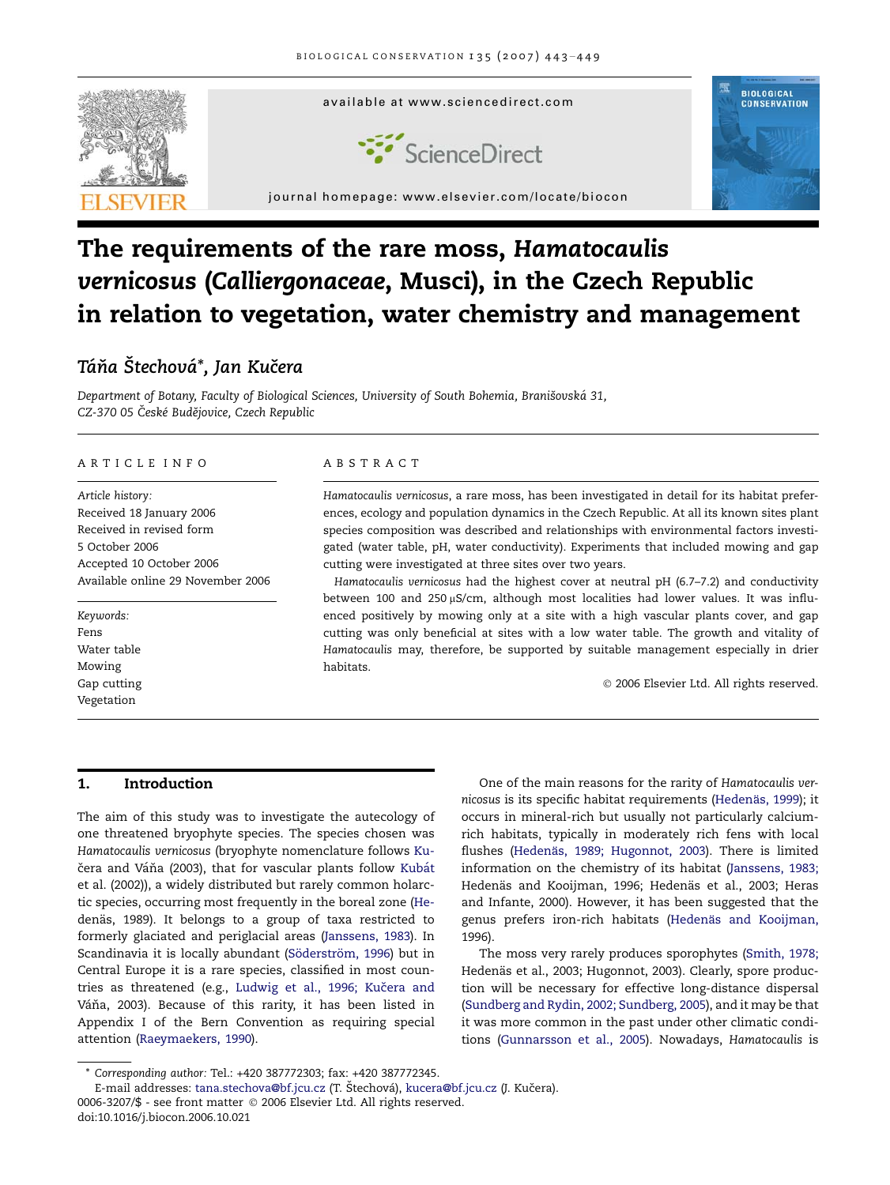

# The requirements of the rare moss, Hamatocaulis vernicosus (Calliergonaceae, Musci), in the Czech Republic in relation to vegetation, water chemistry and management

# Táňa Štechová\*, Jan Kučera

Department of Botany, Faculty of Biological Sciences, University of South Bohemia, Branišovská 31, CZ-370 05 České Budějovice, Czech Republic

# ARTICLE INFO

Article history: Received 18 January 2006 Received in revised form 5 October 2006 Accepted 10 October 2006 Available online 29 November 2006

Keywords: Fens Water table Mowing Gap cutting Vegetation

### ABSTRACT

Hamatocaulis vernicosus, a rare moss, has been investigated in detail for its habitat preferences, ecology and population dynamics in the Czech Republic. At all its known sites plant species composition was described and relationships with environmental factors investigated (water table, pH, water conductivity). Experiments that included mowing and gap cutting were investigated at three sites over two years.

Hamatocaulis vernicosus had the highest cover at neutral pH (6.7–7.2) and conductivity between 100 and 250  $\mu$ S/cm, although most localities had lower values. It was influenced positively by mowing only at a site with a high vascular plants cover, and gap cutting was only beneficial at sites with a low water table. The growth and vitality of Hamatocaulis may, therefore, be supported by suitable management especially in drier habitats.

© 2006 Elsevier Ltd. All rights reserved.

# 1. Introduction

The aim of this study was to investigate the autecology of one threatened bryophyte species. The species chosen was Hamatocaulis vernicosus (bryophyte nomenclature follows [Ku](#page-6-0)čera and Váňa (2003), that for vascular plants follow Kubát [et al. \(2002\)\)](#page-6-0), a widely distributed but rarely common holarctic species, occurring most frequently in the boreal zone [\(He](#page-5-0)denä[s, 1989](#page-5-0)). It belongs to a group of taxa restricted to formerly glaciated and periglacial areas [\(Janssens, 1983\)](#page-6-0). In Scandinavia it is locally abundant (Söderström, 1996) but in Central Europe it is a rare species, classified in most countries as threatened (e.g., Ludwig et al., 1996; Kučera and Váňa, 2003). Because of this rarity, it has been listed in Appendix I of the Bern Convention as requiring special attention [\(Raeymaekers, 1990](#page-6-0)).

One of the main reasons for the rarity of Hamatocaulis vernicosus is its specific habitat requirements (Hedenäs, 1999); it occurs in mineral-rich but usually not particularly calciumrich habitats, typically in moderately rich fens with local flushes (Hedenä[s, 1989; Hugonnot, 2003](#page-5-0)). There is limited information on the chemistry of its habitat ([Janssens, 1983;](#page-6-0) Hedenäs and Kooijman, 1996; Hedenäs et al., 2003; Heras [and Infante, 2000](#page-6-0)). However, it has been suggested that the genus prefers iron-rich habitats (Hedenäs and Kooijman, [1996](#page-5-0)).

The moss very rarely produces sporophytes [\(Smith, 1978;](#page-6-0) Hedenä[s et al., 2003; Hugonnot, 2003](#page-6-0)). Clearly, spore production will be necessary for effective long-distance dispersal [\(Sundberg and Rydin, 2002; Sundberg, 2005\)](#page-6-0), and it may be that it was more common in the past under other climatic conditions [\(Gunnarsson et al., 2005](#page-5-0)). Nowadays, Hamatocaulis is

<sup>\*</sup> Corresponding author: Tel.: +420 387772303; fax: +420 387772345.

<sup>0006-3207/\$ -</sup> see front matter © 2006 Elsevier Ltd. All rights reserved. doi:10.1016/j.biocon.2006.10.021 E-mail addresses: [tana.stechova@bf.jcu.cz](mailto:tana.stechova@bf.jcu.cz) (T. Štechová), [kucera@bf.jcu.cz](mailto:kucera@bf.jcu.cz) (J. Kučera).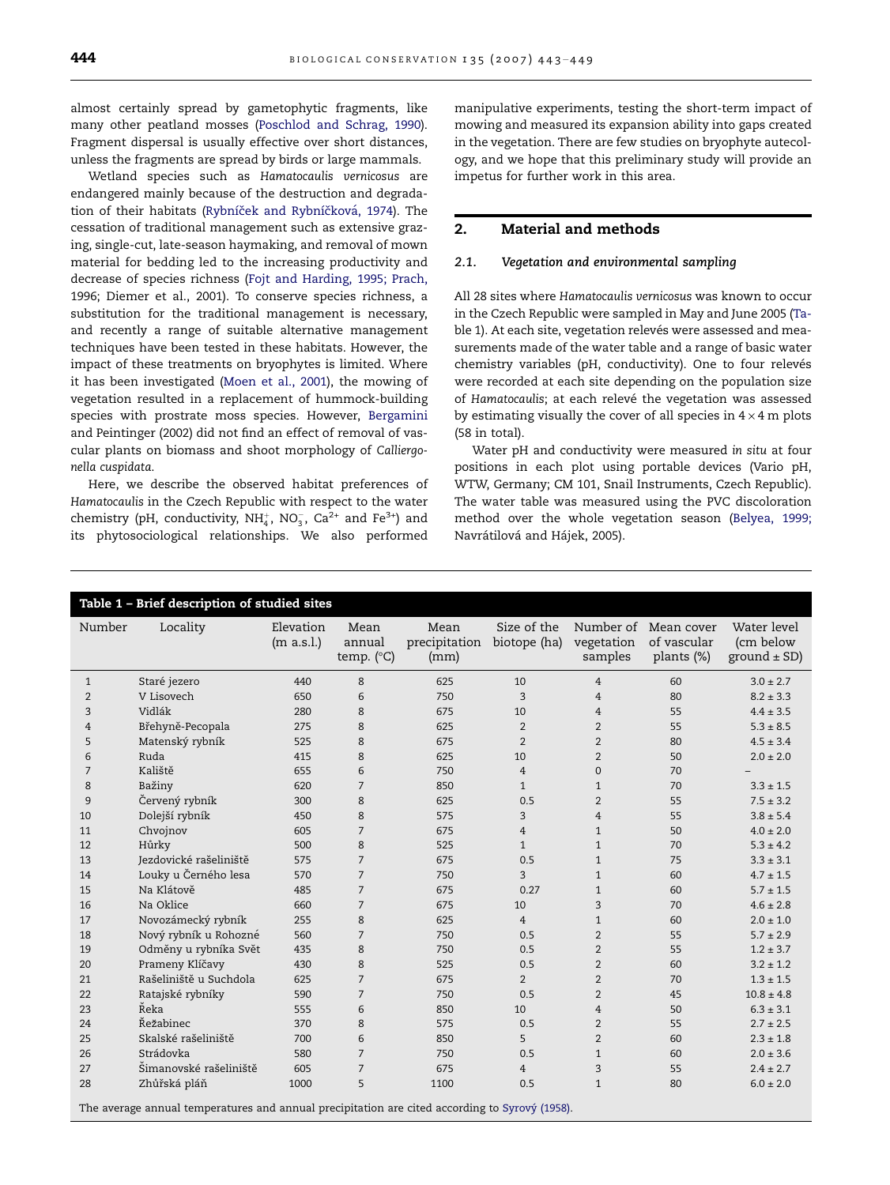<span id="page-1-0"></span>almost certainly spread by gametophytic fragments, like many other peatland mosses [\(Poschlod and Schrag, 1990\)](#page-6-0). Fragment dispersal is usually effective over short distances, unless the fragments are spread by birds or large mammals.

Wetland species such as Hamatocaulis vernicosus are endangered mainly because of the destruction and degradation of their habitats (Rybníček and Rybníčková, 1974). The cessation of traditional management such as extensive grazing, single-cut, late-season haymaking, and removal of mown material for bedding led to the increasing productivity and decrease of species richness [\(Fojt and Harding, 1995; Prach,](#page-5-0) [1996; Diemer et al., 2001\)](#page-5-0). To conserve species richness, a substitution for the traditional management is necessary, and recently a range of suitable alternative management techniques have been tested in these habitats. However, the impact of these treatments on bryophytes is limited. Where it has been investigated ([Moen et al., 2001\)](#page-6-0), the mowing of vegetation resulted in a replacement of hummock-building species with prostrate moss species. However, [Bergamini](#page-5-0) [and Peintinger \(2002\)](#page-5-0) did not find an effect of removal of vascular plants on biomass and shoot morphology of Calliergonella cuspidata.

Here, we describe the observed habitat preferences of Hamatocaulis in the Czech Republic with respect to the water chemistry (pH, conductivity,  $\mathrm{NH}_4^+$ ,  $\mathrm{NO}_3^-$ ,  $\mathrm{Ca^{2+}}$  and  $\mathrm{Fe^{3+}}$ ) and its phytosociological relationships. We also performed

manipulative experiments, testing the short-term impact of mowing and measured its expansion ability into gaps created in the vegetation. There are few studies on bryophyte autecology, and we hope that this preliminary study will provide an impetus for further work in this area.

# 2. Material and methods

# 2.1. Vegetation and environmental sampling

All 28 sites where Hamatocaulis vernicosus was known to occur in the Czech Republic were sampled in May and June 2005 (Table 1). At each site, vegetation relevés were assessed and measurements made of the water table and a range of basic water chemistry variables (pH, conductivity). One to four relevés were recorded at each site depending on the population size of Hamatocaulis; at each relevé the vegetation was assessed by estimating visually the cover of all species in  $4 \times 4$  m plots (58 in total).

Water pH and conductivity were measured in situ at four positions in each plot using portable devices (Vario pH, WTW, Germany; CM 101, Snail Instruments, Czech Republic). The water table was measured using the PVC discoloration method over the whole vegetation season ([Belyea, 1999;](#page-5-0) Navrátilová and Hájek, 2005).

| Table 1 - Brief description of studied sites                                                   |                        |                         |                                       |                               |                             |                       |                                                   |                                              |
|------------------------------------------------------------------------------------------------|------------------------|-------------------------|---------------------------------------|-------------------------------|-----------------------------|-----------------------|---------------------------------------------------|----------------------------------------------|
| Number                                                                                         | Locality               | Elevation<br>(m a.s.l.) | Mean<br>annual<br>temp. $(^{\circ}C)$ | Mean<br>precipitation<br>(mm) | Size of the<br>biotope (ha) | vegetation<br>samples | Number of Mean cover<br>of vascular<br>plants (%) | Water level<br>(cm below<br>ground $\pm$ SD) |
| 1                                                                                              | Staré jezero           | 440                     | 8                                     | 625                           | 10                          | $\overline{4}$        | 60                                                | $3.0 \pm 2.7$                                |
| $\overline{2}$                                                                                 | V Lisovech             | 650                     | 6                                     | 750                           | $\mathbf{3}$                | $\overline{4}$        | 80                                                | $8.2 \pm 3.3$                                |
| 3                                                                                              | Vidlák                 | 280                     | 8                                     | 675                           | 10                          | 4                     | 55                                                | $4.4 \pm 3.5$                                |
| $\overline{4}$                                                                                 | Břehyně-Pecopala       | 275                     | 8                                     | 625                           | $\overline{2}$              | $\overline{2}$        | 55                                                | $5.3 \pm 8.5$                                |
| 5                                                                                              | Matenský rybník        | 525                     | 8                                     | 675                           | $\overline{2}$              | $\overline{2}$        | 80                                                | $4.5 \pm 3.4$                                |
| 6                                                                                              | Ruda                   | 415                     | 8                                     | 625                           | 10                          | $\overline{2}$        | 50                                                | $2.0 \pm 2.0$                                |
| 7                                                                                              | Kaliště                | 655                     | 6                                     | 750                           | $\overline{4}$              | $\Omega$              | 70                                                |                                              |
| 8                                                                                              | Bažiny                 | 620                     | $\overline{7}$                        | 850                           | $\mathbf{1}$                | $\mathbf{1}$          | 70                                                | $3.3 \pm 1.5$                                |
| 9                                                                                              | Červený rybník         | 300                     | 8                                     | 625                           | 0.5                         | $\overline{2}$        | 55                                                | $7.5 \pm 3.2$                                |
| 10                                                                                             | Dolejší rybník         | 450                     | 8                                     | 575                           | 3                           | $\overline{4}$        | 55                                                | $3.8 \pm 5.4$                                |
| 11                                                                                             | Chvojnov               | 605                     | $\overline{7}$                        | 675                           | 4                           | $\mathbf{1}$          | 50                                                | $4.0 \pm 2.0$                                |
| 12                                                                                             | Hůrky                  | 500                     | 8                                     | 525                           | $\mathbf{1}$                | $\mathbf{1}$          | 70                                                | $5.3 \pm 4.2$                                |
| 13                                                                                             | Jezdovické rašeliniště | 575                     | $\overline{7}$                        | 675                           | 0.5                         | $\mathbf{1}$          | 75                                                | $3.3 \pm 3.1$                                |
| 14                                                                                             | Louky u Černého lesa   | 570                     | $\overline{7}$                        | 750                           | 3                           | $\mathbf{1}$          | 60                                                | $4.7 \pm 1.5$                                |
| 15                                                                                             | Na Klátově             | 485                     | $\overline{7}$                        | 675                           | 0.27                        | $\mathbf{1}$          | 60                                                | $5.7 \pm 1.5$                                |
| 16                                                                                             | Na Oklice              | 660                     | $\overline{7}$                        | 675                           | 10                          | 3                     | 70                                                | $4.6 \pm 2.8$                                |
| 17                                                                                             | Novozámecký rybník     | 255                     | 8                                     | 625                           | $\overline{4}$              | $\mathbf{1}$          | 60                                                | $2.0 \pm 1.0$                                |
| 18                                                                                             | Nový rybník u Rohozné  | 560                     | $\overline{7}$                        | 750                           | 0.5                         | $\overline{2}$        | 55                                                | $5.7 \pm 2.9$                                |
| 19                                                                                             | Odměny u rybníka Svět  | 435                     | 8                                     | 750                           | 0.5                         | $\overline{2}$        | 55                                                | $1.2 \pm 3.7$                                |
| 20                                                                                             | Prameny Klíčavy        | 430                     | 8                                     | 525                           | 0.5                         | $\overline{2}$        | 60                                                | $3.2 \pm 1.2$                                |
| 21                                                                                             | Rašeliniště u Suchdola | 625                     | $\overline{7}$                        | 675                           | $\overline{2}$              | $\overline{2}$        | 70                                                | $1.3 \pm 1.5$                                |
| 22                                                                                             | Ratajské rybníky       | 590                     | $\overline{7}$                        | 750                           | 0.5                         | $\overline{2}$        | 45                                                | $10.8 \pm 4.8$                               |
| 23                                                                                             | Řeka                   | 555                     | 6                                     | 850                           | 10                          | $\overline{4}$        | 50                                                | $6.3 \pm 3.1$                                |
| 24                                                                                             | Řežabinec              | 370                     | 8                                     | 575                           | 0.5                         | 2                     | 55                                                | $2.7 \pm 2.5$                                |
| 25                                                                                             | Skalské rašeliniště    | 700                     | 6                                     | 850                           | 5                           | $\overline{2}$        | 60                                                | $2.3 \pm 1.8$                                |
| 26                                                                                             | Strádovka              | 580                     | $\overline{7}$                        | 750                           | 0.5                         | $\mathbf{1}$          | 60                                                | $2.0 \pm 3.6$                                |
| 27                                                                                             | Šimanovské rašeliniště | 605                     | $\overline{7}$                        | 675                           | $\overline{4}$              | 3                     | 55                                                | $2.4 \pm 2.7$                                |
| 28                                                                                             | Zhůřská pláň           | 1000                    | 5                                     | 1100                          | 0.5                         | $\mathbf{1}$          | 80                                                | $6.0 \pm 2.0$                                |
| The average annual temperatures and annual precipitation are cited according to Syrový (1958). |                        |                         |                                       |                               |                             |                       |                                                   |                                              |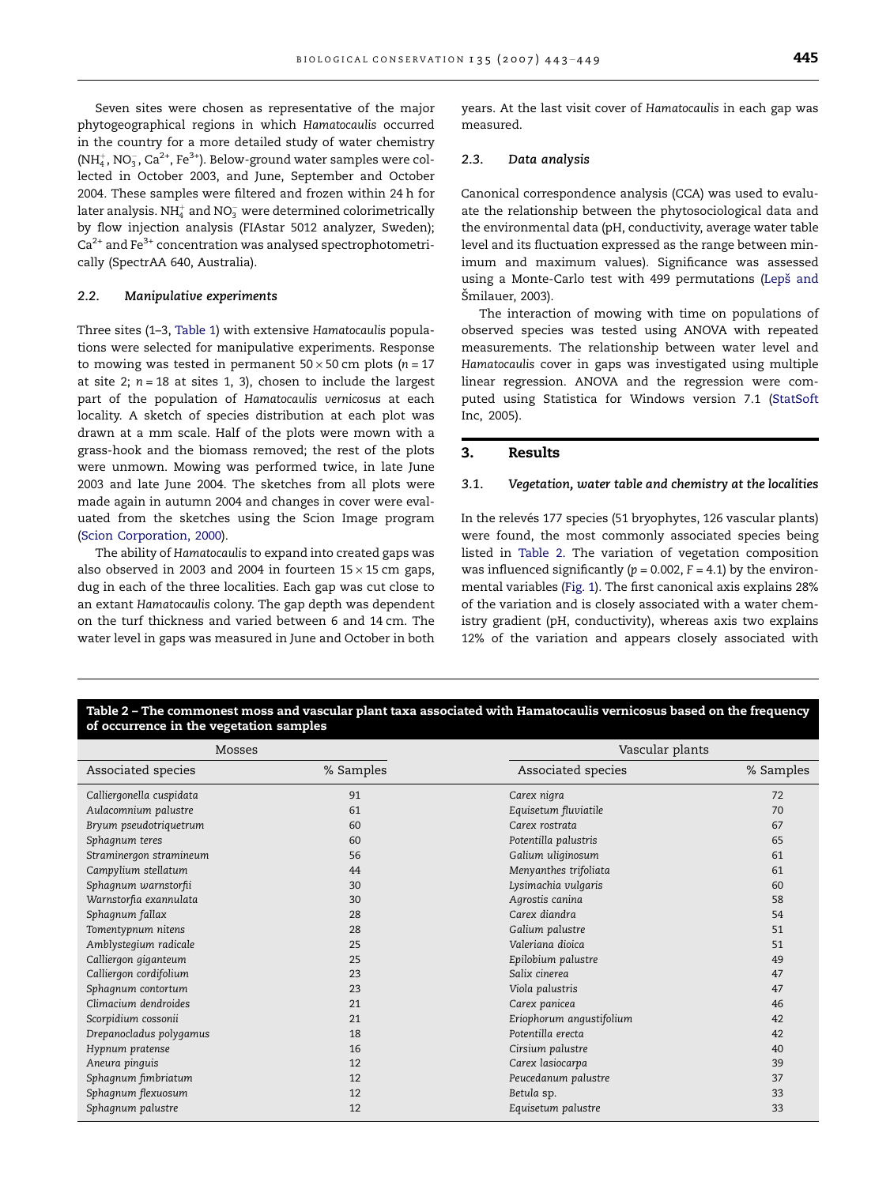Seven sites were chosen as representative of the major phytogeographical regions in which Hamatocaulis occurred in the country for a more detailed study of water chemistry (NH $_4^+$ , NO $_3^-$ , Ca $^{2+}$ , Fe $^{3+}$ ). Below-ground water samples were collected in October 2003, and June, September and October 2004. These samples were filtered and frozen within 24 h for later analysis. NH $_4^+$  and NO $_3^-$  were determined colorimetrically by flow injection analysis (FIAstar 5012 analyzer, Sweden);  $Ca<sup>2+</sup>$  and Fe<sup>3+</sup> concentration was analysed spectrophotometrically (SpectrAA 640, Australia).

#### 2.2. Manipulative experiments

Three sites (1–3, [Table 1\)](#page-1-0) with extensive Hamatocaulis populations were selected for manipulative experiments. Response to mowing was tested in permanent  $50 \times 50$  cm plots (n = 17 at site 2;  $n = 18$  at sites 1, 3), chosen to include the largest part of the population of Hamatocaulis vernicosus at each locality. A sketch of species distribution at each plot was drawn at a mm scale. Half of the plots were mown with a grass-hook and the biomass removed; the rest of the plots were unmown. Mowing was performed twice, in late June 2003 and late June 2004. The sketches from all plots were made again in autumn 2004 and changes in cover were evaluated from the sketches using the Scion Image program [\(Scion Corporation, 2000](#page-6-0)).

The ability of Hamatocaulis to expand into created gaps was also observed in 2003 and 2004 in fourteen  $15 \times 15$  cm gaps, dug in each of the three localities. Each gap was cut close to an extant Hamatocaulis colony. The gap depth was dependent on the turf thickness and varied between 6 and 14 cm. The water level in gaps was measured in June and October in both years. At the last visit cover of Hamatocaulis in each gap was measured.

# 2.3. Data analysis

Canonical correspondence analysis (CCA) was used to evaluate the relationship between the phytosociological data and the environmental data (pH, conductivity, average water table level and its fluctuation expressed as the range between minimum and maximum values). Significance was assessed using a Monte-Carlo test with 499 permutations (Lepš and Šmilauer, 2003).

The interaction of mowing with time on populations of observed species was tested using ANOVA with repeated measurements. The relationship between water level and Hamatocaulis cover in gaps was investigated using multiple linear regression. ANOVA and the regression were computed using Statistica for Windows version 7.1 [\(StatSoft](#page-6-0) [Inc, 2005\)](#page-6-0).

# 3. Results

#### 3.1. Vegetation, water table and chemistry at the localities

In the relevés 177 species (51 bryophytes, 126 vascular plants) were found, the most commonly associated species being listed in Table 2. The variation of vegetation composition was influenced significantly ( $p = 0.002$ ,  $F = 4.1$ ) by the environmental variables [\(Fig. 1](#page-3-0)). The first canonical axis explains 28% of the variation and is closely associated with a water chemistry gradient (pH, conductivity), whereas axis two explains 12% of the variation and appears closely associated with

#### Table 2 – The commonest moss and vascular plant taxa associated with Hamatocaulis vernicosus based on the frequency of occurrence in the vegetation samples

|                          | <b>Mosses</b> |                          | Vascular plants |  |  |
|--------------------------|---------------|--------------------------|-----------------|--|--|
| Associated species       | % Samples     | Associated species       | % Samples       |  |  |
| Calliergonella cuspidata | 91            | Carex nigra              | 72              |  |  |
| Aulacomnium palustre     | 61            | Equisetum fluviatile     | 70              |  |  |
| Bryum pseudotriquetrum   | 60            | Carex rostrata           | 67              |  |  |
| Sphagnum teres           | 60            | Potentilla palustris     | 65              |  |  |
| Straminergon stramineum  | 56            | Galium uliginosum        | 61              |  |  |
| Campylium stellatum      | 44            | Menyanthes trifoliata    | 61              |  |  |
| Sphagnum warnstorfii     | 30            | Lysimachia vulgaris      | 60              |  |  |
| Warnstorfia exannulata   | 30            | Agrostis canina          | 58              |  |  |
| Sphagnum fallax          | 28            | Carex diandra            | 54              |  |  |
| Tomentypnum nitens       | 28            | Galium palustre          | 51              |  |  |
| Amblystegium radicale    | 25            | Valeriana dioica         | 51              |  |  |
| Calliergon giganteum     | 25            | Epilobium palustre       | 49              |  |  |
| Calliergon cordifolium   | 23            | Salix cinerea            | 47              |  |  |
| Sphagnum contortum       | 23            | Viola palustris          | 47              |  |  |
| Climacium dendroides     | 21            | Carex panicea            | 46              |  |  |
| Scorpidium cossonii      | 21            | Eriophorum angustifolium | 42              |  |  |
| Drepanocladus polygamus  | 18            | Potentilla erecta        | 42              |  |  |
| Hypnum pratense          | 16            | Cirsium palustre         | 40              |  |  |
| Aneura pinguis           | 12            | Carex lasiocarpa         | 39              |  |  |
| Sphagnum fimbriatum      | 12            | Peucedanum palustre      | 37              |  |  |
| Sphagnum flexuosum       | 12            | Betula sp.               | 33              |  |  |
| Sphagnum palustre        | 12            | Equisetum palustre       | 33              |  |  |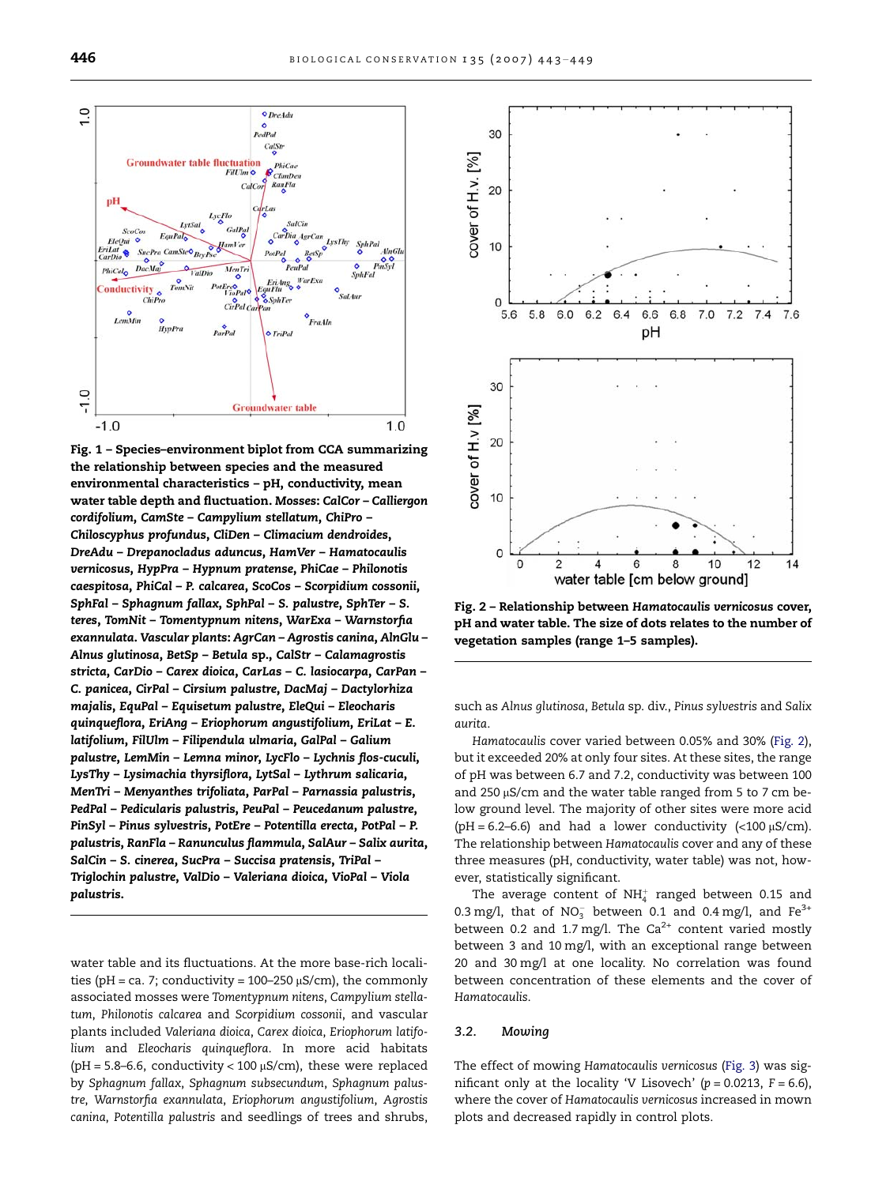<span id="page-3-0"></span>

Fig. 1 – Species–environment biplot from CCA summarizing the relationship between species and the measured environmental characteristics – pH, conductivity, mean water table depth and fluctuation. Mosses: CalCor – Calliergon cordifolium, CamSte – Campylium stellatum, ChiPro – Chiloscyphus profundus, CliDen – Climacium dendroides, DreAdu – Drepanocladus aduncus, HamVer – Hamatocaulis vernicosus, HypPra – Hypnum pratense, PhiCae – Philonotis caespitosa, PhiCal – P. calcarea, ScoCos – Scorpidium cossonii, SphFal – Sphagnum fallax, SphPal – S. palustre, SphTer – S. teres, TomNit – Tomentypnum nitens, WarExa – Warnstorfia exannulata. Vascular plants: AgrCan – Agrostis canina, AlnGlu – Alnus glutinosa, BetSp – Betula sp., CalStr – Calamagrostis stricta, CarDio – Carex dioica, CarLas – C. lasiocarpa, CarPan – C. panicea, CirPal – Cirsium palustre, DacMaj – Dactylorhiza majalis, EquPal – Equisetum palustre, EleQui – Eleocharis quinqueflora, EriAng – Eriophorum angustifolium, EriLat – E. latifolium, FilUlm – Filipendula ulmaria, GalPal – Galium palustre, LemMin – Lemna minor, LycFlo – Lychnis flos-cuculi, LysThy – Lysimachia thyrsiflora, LytSal – Lythrum salicaria, MenTri – Menyanthes trifoliata, ParPal – Parnassia palustris, PedPal – Pedicularis palustris, PeuPal – Peucedanum palustre, PinSyl – Pinus sylvestris, PotEre – Potentilla erecta, PotPal – P. palustris, RanFla – Ranunculus flammula, SalAur – Salix aurita, SalCin – S. cinerea, SucPra – Succisa pratensis, TriPal – Triglochin palustre, ValDio – Valeriana dioica, VioPal – Viola palustris.

water table and its fluctuations. At the more base-rich localities (pH = ca. 7; conductivity =  $100-250 \mu S/cm$ ), the commonly associated mosses were Tomentypnum nitens, Campylium stellatum, Philonotis calcarea and Scorpidium cossonii, and vascular plants included Valeriana dioica, Carex dioica, Eriophorum latifolium and Eleocharis quinqueflora. In more acid habitats (pH = 5.8–6.6, conductivity < 100  $\mu$ S/cm), these were replaced by Sphagnum fallax, Sphagnum subsecundum, Sphagnum palustre, Warnstorfia exannulata, Eriophorum angustifolium, Agrostis canina, Potentilla palustris and seedlings of trees and shrubs,



Fig. 2 – Relationship between Hamatocaulis vernicosus cover, pH and water table. The size of dots relates to the number of vegetation samples (range 1–5 samples).

such as Alnus glutinosa, Betula sp. div., Pinus sylvestris and Salix aurita.

Hamatocaulis cover varied between 0.05% and 30% (Fig. 2), but it exceeded 20% at only four sites. At these sites, the range of pH was between 6.7 and 7.2, conductivity was between 100 and 250  $\mu$ S/cm and the water table ranged from 5 to 7 cm below ground level. The majority of other sites were more acid (pH = 6.2–6.6) and had a lower conductivity (<100  $\mu$ S/cm). The relationship between Hamatocaulis cover and any of these three measures (pH, conductivity, water table) was not, however, statistically significant.

The average content of  $\mathrm{NH}_4^+$  ranged between 0.15 and 0.3 mg/l, that of  $NO_3^-$  between 0.1 and 0.4 mg/l, and  $Fe^{3+}$ between 0.2 and 1.7 mg/l. The  $Ca^{2+}$  content varied mostly between 3 and 10 mg/l, with an exceptional range between 20 and 30 mg/l at one locality. No correlation was found between concentration of these elements and the cover of Hamatocaulis.

# 3.2. Mowing

The effect of mowing Hamatocaulis vernicosus ([Fig. 3](#page-4-0)) was significant only at the locality 'V Lisovech'  $(p = 0.0213, F = 6.6)$ , where the cover of Hamatocaulis vernicosus increased in mown plots and decreased rapidly in control plots.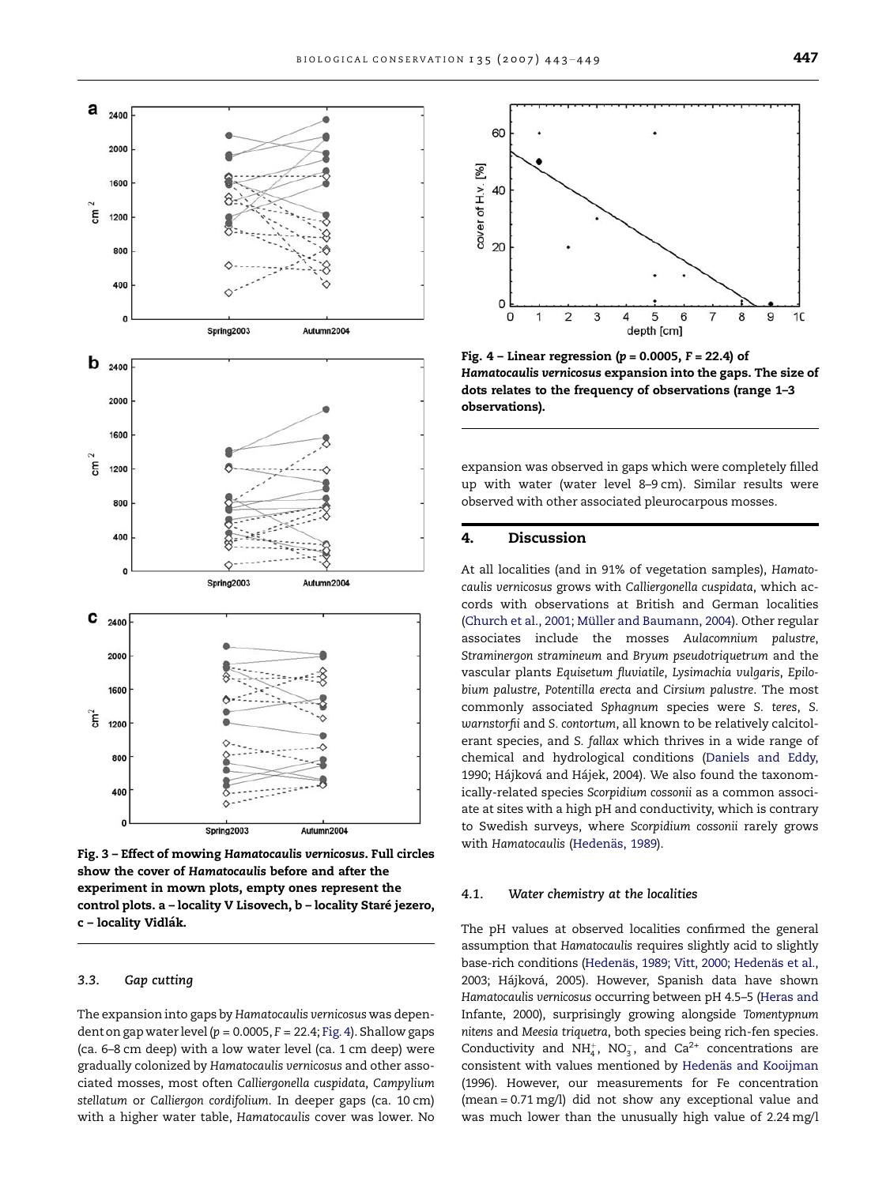<span id="page-4-0"></span>

Fig. 3 – Effect of mowing Hamatocaulis vernicosus. Full circles show the cover of Hamatocaulis before and after the experiment in mown plots, empty ones represent the control plots. a - locality V Lisovech, b - locality Staré jezero, c - locality Vidlák.

#### 3.3. Gap cutting

The expansion into gaps by Hamatocaulis vernicosus was dependent on gap water level ( $p = 0.0005$ ,  $F = 22.4$ ; Fig. 4). Shallow gaps (ca. 6–8 cm deep) with a low water level (ca. 1 cm deep) were gradually colonized by Hamatocaulis vernicosus and other associated mosses, most often Calliergonella cuspidata, Campylium stellatum or Calliergon cordifolium. In deeper gaps (ca. 10 cm) with a higher water table, Hamatocaulis cover was lower. No



Fig.  $4$  – Linear regression ( $p = 0.0005$ ,  $F = 22.4$ ) of Hamatocaulis vernicosus expansion into the gaps. The size of dots relates to the frequency of observations (range 1–3 observations).

expansion was observed in gaps which were completely filled up with water (water level 8–9 cm). Similar results were observed with other associated pleurocarpous mosses.

# 4. Discussion

At all localities (and in 91% of vegetation samples), Hamatocaulis vernicosus grows with Calliergonella cuspidata, which accords with observations at British and German localities (Church et al., 2001; Mü[ller and Baumann, 2004\)](#page-5-0). Other regular associates include the mosses Aulacomnium palustre, Straminergon stramineum and Bryum pseudotriquetrum and the vascular plants Equisetum fluviatile, Lysimachia vulgaris, Epilobium palustre, Potentilla erecta and Cirsium palustre. The most commonly associated Sphagnum species were S. teres, S. warnstorfii and S. contortum, all known to be relatively calcitolerant species, and S. fallax which thrives in a wide range of chemical and hydrological conditions ([Daniels and Eddy,](#page-5-0) 1990; Hájková and Hájek, 2004). We also found the taxonomically-related species Scorpidium cossonii as a common associate at sites with a high pH and conductivity, which is contrary to Swedish surveys, where Scorpidium cossonii rarely grows with Hamatocaulis (Hedenäs, 1989).

#### 4.1. Water chemistry at the localities

The pH values at observed localities confirmed the general assumption that Hamatocaulis requires slightly acid to slightly base-rich conditions (Hedenäs, 1989; Vitt, 2000; Hedenäs et al., 2003; Hájková, 2005). However, Spanish data have shown Hamatocaulis vernicosus occurring between pH 4.5–5 [\(Heras and](#page-6-0) [Infante, 2000\)](#page-6-0), surprisingly growing alongside Tomentypnum nitens and Meesia triquetra, both species being rich-fen species. Conductivity and NH<sup>+</sup><sub>4</sub>, NO<sub>3</sub>, and Ca<sup>2+</sup> concentrations are consistent with values mentioned by Hedenäs and Kooijman [\(1996\).](#page-5-0) However, our measurements for Fe concentration (mean = 0.71 mg/l) did not show any exceptional value and was much lower than the unusually high value of 2.24 mg/l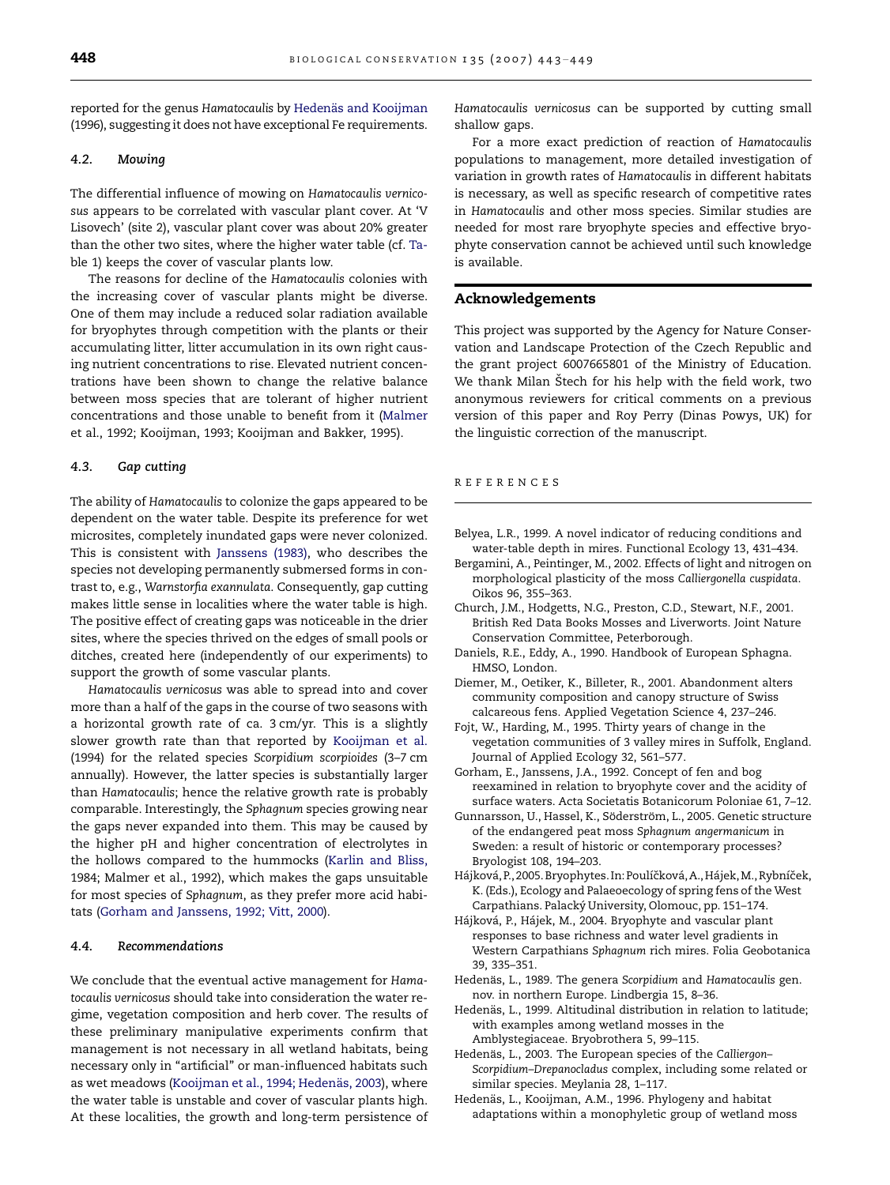<span id="page-5-0"></span>reported for the genus Hamatocaulis by Hedenäs and Kooijman (1996), suggesting it does not have exceptional Fe requirements.

# 4.2. Mowing

The differential influence of mowing on Hamatocaulis vernicosus appears to be correlated with vascular plant cover. At 'V Lisovech' (site 2), vascular plant cover was about 20% greater than the other two sites, where the higher water table (cf. [Ta](#page-1-0)[ble 1\)](#page-1-0) keeps the cover of vascular plants low.

The reasons for decline of the Hamatocaulis colonies with the increasing cover of vascular plants might be diverse. One of them may include a reduced solar radiation available for bryophytes through competition with the plants or their accumulating litter, litter accumulation in its own right causing nutrient concentrations to rise. Elevated nutrient concentrations have been shown to change the relative balance between moss species that are tolerant of higher nutrient concentrations and those unable to benefit from it [\(Malmer](#page-6-0) [et al., 1992; Kooijman, 1993; Kooijman and Bakker, 1995\)](#page-6-0).

#### 4.3. Gap cutting

The ability of Hamatocaulis to colonize the gaps appeared to be dependent on the water table. Despite its preference for wet microsites, completely inundated gaps were never colonized. This is consistent with [Janssens \(1983\),](#page-6-0) who describes the species not developing permanently submersed forms in contrast to, e.g., Warnstorfia exannulata. Consequently, gap cutting makes little sense in localities where the water table is high. The positive effect of creating gaps was noticeable in the drier sites, where the species thrived on the edges of small pools or ditches, created here (independently of our experiments) to support the growth of some vascular plants.

Hamatocaulis vernicosus was able to spread into and cover more than a half of the gaps in the course of two seasons with a horizontal growth rate of ca. 3 cm/yr. This is a slightly slower growth rate than that reported by [Kooijman et al.](#page-6-0) [\(1994\)](#page-6-0) for the related species Scorpidium scorpioides (3–7 cm annually). However, the latter species is substantially larger than Hamatocaulis; hence the relative growth rate is probably comparable. Interestingly, the Sphagnum species growing near the gaps never expanded into them. This may be caused by the higher pH and higher concentration of electrolytes in the hollows compared to the hummocks ([Karlin and Bliss,](#page-6-0) [1984; Malmer et al., 1992](#page-6-0)), which makes the gaps unsuitable for most species of Sphagnum, as they prefer more acid habitats (Gorham and Janssens, 1992; Vitt, 2000).

# 4.4. Recommendations

We conclude that the eventual active management for Hamatocaulis vernicosus should take into consideration the water regime, vegetation composition and herb cover. The results of these preliminary manipulative experiments confirm that management is not necessary in all wetland habitats, being necessary only in ''artificial'' or man-influenced habitats such as wet meadows (Kooijman et al., 1994; Hedenäs, 2003), where the water table is unstable and cover of vascular plants high. At these localities, the growth and long-term persistence of

Hamatocaulis vernicosus can be supported by cutting small shallow gaps.

For a more exact prediction of reaction of Hamatocaulis populations to management, more detailed investigation of variation in growth rates of Hamatocaulis in different habitats is necessary, as well as specific research of competitive rates in Hamatocaulis and other moss species. Similar studies are needed for most rare bryophyte species and effective bryophyte conservation cannot be achieved until such knowledge is available.

## Acknowledgements

This project was supported by the Agency for Nature Conservation and Landscape Protection of the Czech Republic and the grant project 6007665801 of the Ministry of Education. We thank Milan Stech for his help with the field work, two anonymous reviewers for critical comments on a previous version of this paper and Roy Perry (Dinas Powys, UK) for the linguistic correction of the manuscript.

#### REFERENCES

- Belyea, L.R., 1999. A novel indicator of reducing conditions and water-table depth in mires. Functional Ecology 13, 431–434.
- Bergamini, A., Peintinger, M., 2002. Effects of light and nitrogen on morphological plasticity of the moss Calliergonella cuspidata. Oikos 96, 355–363.
- Church, J.M., Hodgetts, N.G., Preston, C.D., Stewart, N.F., 2001. British Red Data Books Mosses and Liverworts. Joint Nature Conservation Committee, Peterborough.
- Daniels, R.E., Eddy, A., 1990. Handbook of European Sphagna. HMSO, London.
- Diemer, M., Oetiker, K., Billeter, R., 2001. Abandonment alters community composition and canopy structure of Swiss calcareous fens. Applied Vegetation Science 4, 237–246.
- Fojt, W., Harding, M., 1995. Thirty years of change in the vegetation communities of 3 valley mires in Suffolk, England. Journal of Applied Ecology 32, 561–577.
- Gorham, E., Janssens, J.A., 1992. Concept of fen and bog reexamined in relation to bryophyte cover and the acidity of surface waters. Acta Societatis Botanicorum Poloniae 61, 7–12.
- Gunnarsson, U., Hassel, K., Söderström, L., 2005. Genetic structure of the endangered peat moss Sphagnum angermanicum in Sweden: a result of historic or contemporary processes? Bryologist 108, 194–203.
- Hájková, P., 2005. Bryophytes. In: Poulíčková, A., Hájek, M., Rybníček, K. (Eds.), Ecology and Palaeoecology of spring fens of the West Carpathians. Palacký University, Olomouc, pp. 151-174.
- Hájková, P., Hájek, M., 2004. Bryophyte and vascular plant responses to base richness and water level gradients in Western Carpathians Sphagnum rich mires. Folia Geobotanica 39, 335–351.
- Hedenäs, L., 1989. The genera Scorpidium and Hamatocaulis gen. nov. in northern Europe. Lindbergia 15, 8–36.
- Hedenäs, L., 1999. Altitudinal distribution in relation to latitude; with examples among wetland mosses in the Amblystegiaceae. Bryobrothera 5, 99–115.
- Hedenäs, L., 2003. The European species of the Calliergon-Scorpidium–Drepanocladus complex, including some related or similar species. Meylania 28, 1–117.
- Hedenäs, L., Kooijman, A.M., 1996. Phylogeny and habitat adaptations within a monophyletic group of wetland moss